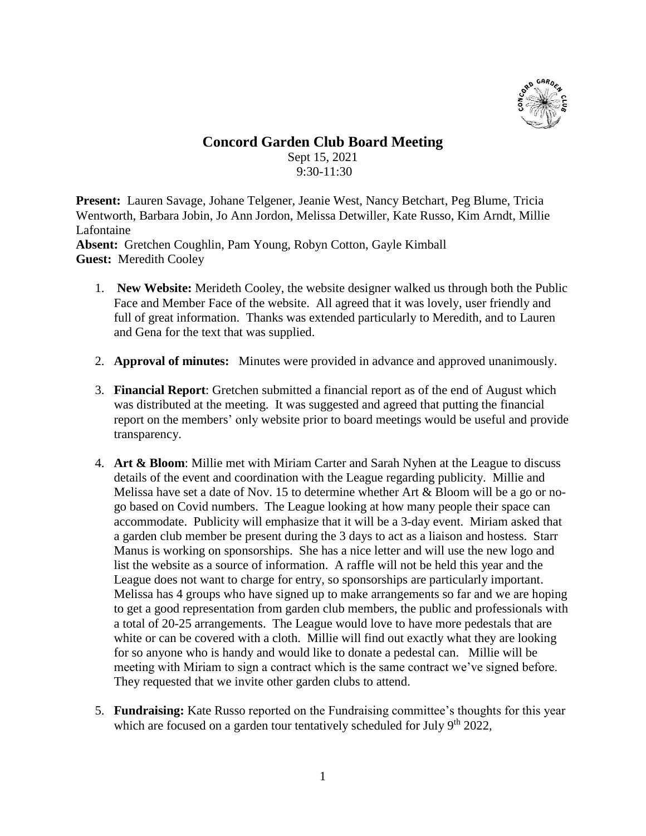

## **Concord Garden Club Board Meeting**

Sept 15, 2021 9:30-11:30

**Present:** Lauren Savage, Johane Telgener, Jeanie West, Nancy Betchart, Peg Blume, Tricia Wentworth, Barbara Jobin, Jo Ann Jordon, Melissa Detwiller, Kate Russo, Kim Arndt, Millie Lafontaine

**Absent:** Gretchen Coughlin, Pam Young, Robyn Cotton, Gayle Kimball **Guest:** Meredith Cooley

- 1. **New Website:** Merideth Cooley, the website designer walked us through both the Public Face and Member Face of the website. All agreed that it was lovely, user friendly and full of great information. Thanks was extended particularly to Meredith, and to Lauren and Gena for the text that was supplied.
- 2. **Approval of minutes:** Minutes were provided in advance and approved unanimously.
- 3. **Financial Report**: Gretchen submitted a financial report as of the end of August which was distributed at the meeting. It was suggested and agreed that putting the financial report on the members' only website prior to board meetings would be useful and provide transparency.
- 4. **Art & Bloom**: Millie met with Miriam Carter and Sarah Nyhen at the League to discuss details of the event and coordination with the League regarding publicity. Millie and Melissa have set a date of Nov. 15 to determine whether Art & Bloom will be a go or nogo based on Covid numbers. The League looking at how many people their space can accommodate. Publicity will emphasize that it will be a 3-day event. Miriam asked that a garden club member be present during the 3 days to act as a liaison and hostess. Starr Manus is working on sponsorships. She has a nice letter and will use the new logo and list the website as a source of information. A raffle will not be held this year and the League does not want to charge for entry, so sponsorships are particularly important. Melissa has 4 groups who have signed up to make arrangements so far and we are hoping to get a good representation from garden club members, the public and professionals with a total of 20-25 arrangements. The League would love to have more pedestals that are white or can be covered with a cloth. Millie will find out exactly what they are looking for so anyone who is handy and would like to donate a pedestal can. Millie will be meeting with Miriam to sign a contract which is the same contract we've signed before. They requested that we invite other garden clubs to attend.
- 5. **Fundraising:** Kate Russo reported on the Fundraising committee's thoughts for this year which are focused on a garden tour tentatively scheduled for July  $9<sup>th</sup> 2022$ ,